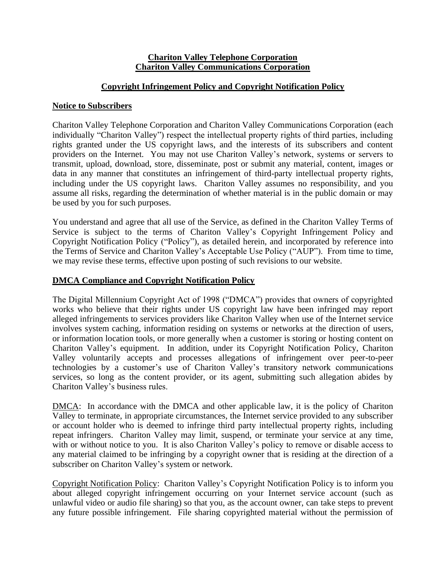## **Chariton Valley Telephone Corporation Chariton Valley Communications Corporation**

# **Copyright Infringement Policy and Copyright Notification Policy**

## **Notice to Subscribers**

Chariton Valley Telephone Corporation and Chariton Valley Communications Corporation (each individually "Chariton Valley") respect the intellectual property rights of third parties, including rights granted under the US copyright laws, and the interests of its subscribers and content providers on the Internet. You may not use Chariton Valley's network, systems or servers to transmit, upload, download, store, disseminate, post or submit any material, content, images or data in any manner that constitutes an infringement of third-party intellectual property rights, including under the US copyright laws. Chariton Valley assumes no responsibility, and you assume all risks, regarding the determination of whether material is in the public domain or may be used by you for such purposes.

You understand and agree that all use of the Service, as defined in the Chariton Valley Terms of Service is subject to the terms of Chariton Valley's Copyright Infringement Policy and Copyright Notification Policy ("Policy"), as detailed herein, and incorporated by reference into the Terms of Service and Chariton Valley's Acceptable Use Policy ("AUP"). From time to time, we may revise these terms, effective upon posting of such revisions to our website.

# **DMCA Compliance and Copyright Notification Policy**

The Digital Millennium Copyright Act of 1998 ("DMCA") provides that owners of copyrighted works who believe that their rights under US copyright law have been infringed may report alleged infringements to services providers like Chariton Valley when use of the Internet service involves system caching, information residing on systems or networks at the direction of users, or information location tools, or more generally when a customer is storing or hosting content on Chariton Valley's equipment. In addition, under its Copyright Notification Policy, Chariton Valley voluntarily accepts and processes allegations of infringement over peer-to-peer technologies by a customer's use of Chariton Valley's transitory network communications services, so long as the content provider, or its agent, submitting such allegation abides by Chariton Valley's business rules.

DMCA:In accordance with the DMCA and other applicable law, it is the policy of Chariton Valley to terminate, in appropriate circumstances, the Internet service provided to any subscriber or account holder who is deemed to infringe third party intellectual property rights, including repeat infringers. Chariton Valley may limit, suspend, or terminate your service at any time, with or without notice to you. It is also Chariton Valley's policy to remove or disable access to any material claimed to be infringing by a copyright owner that is residing at the direction of a subscriber on Chariton Valley's system or network.

Copyright Notification Policy:Chariton Valley's Copyright Notification Policy is to inform you about alleged copyright infringement occurring on your Internet service account (such as unlawful video or audio file sharing) so that you, as the account owner, can take steps to prevent any future possible infringement. File sharing copyrighted material without the permission of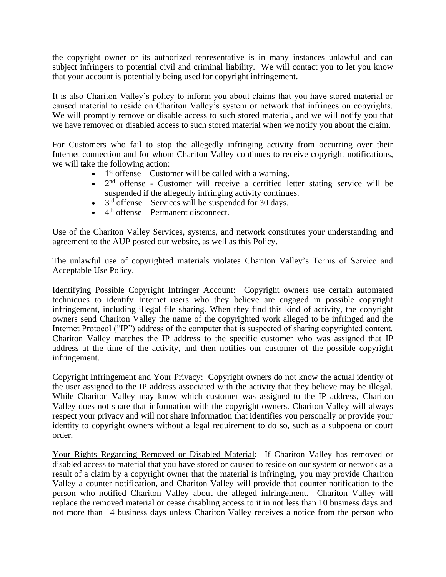the copyright owner or its authorized representative is in many instances unlawful and can subject infringers to potential civil and criminal liability. We will contact you to let you know that your account is potentially being used for copyright infringement.

It is also Chariton Valley's policy to inform you about claims that you have stored material or caused material to reside on Chariton Valley's system or network that infringes on copyrights. We will promptly remove or disable access to such stored material, and we will notify you that we have removed or disabled access to such stored material when we notify you about the claim.

For Customers who fail to stop the allegedly infringing activity from occurring over their Internet connection and for whom Chariton Valley continues to receive copyright notifications, we will take the following action:

- $\bullet$  1<sup>st</sup> offense Customer will be called with a warning.
- $\bullet$  2<sup>nd</sup> offense Customer will receive a certified letter stating service will be suspended if the allegedly infringing activity continues.
- $\bullet$  3<sup>rd</sup> offense Services will be suspended for 30 days.
- $\bullet$  4<sup>th</sup> offense Permanent disconnect.

Use of the Chariton Valley Services, systems, and network constitutes your understanding and agreement to the AUP posted our website, as well as this Policy.

The unlawful use of copyrighted materials violates Chariton Valley's Terms of Service and Acceptable Use Policy.

Identifying Possible Copyright Infringer Account: Copyright owners use certain automated techniques to identify Internet users who they believe are engaged in possible copyright infringement, including illegal file sharing. When they find this kind of activity, the copyright owners send Chariton Valley the name of the copyrighted work alleged to be infringed and the Internet Protocol ("IP") address of the computer that is suspected of sharing copyrighted content. Chariton Valley matches the IP address to the specific customer who was assigned that IP address at the time of the activity, and then notifies our customer of the possible copyright infringement.

Copyright Infringement and Your Privacy: Copyright owners do not know the actual identity of the user assigned to the IP address associated with the activity that they believe may be illegal. While Chariton Valley may know which customer was assigned to the IP address, Chariton Valley does not share that information with the copyright owners. Chariton Valley will always respect your privacy and will not share information that identifies you personally or provide your identity to copyright owners without a legal requirement to do so, such as a subpoena or court order.

Your Rights Regarding Removed or Disabled Material: If Chariton Valley has removed or disabled access to material that you have stored or caused to reside on our system or network as a result of a claim by a copyright owner that the material is infringing, you may provide Chariton Valley a counter notification, and Chariton Valley will provide that counter notification to the person who notified Chariton Valley about the alleged infringement. Chariton Valley will replace the removed material or cease disabling access to it in not less than 10 business days and not more than 14 business days unless Chariton Valley receives a notice from the person who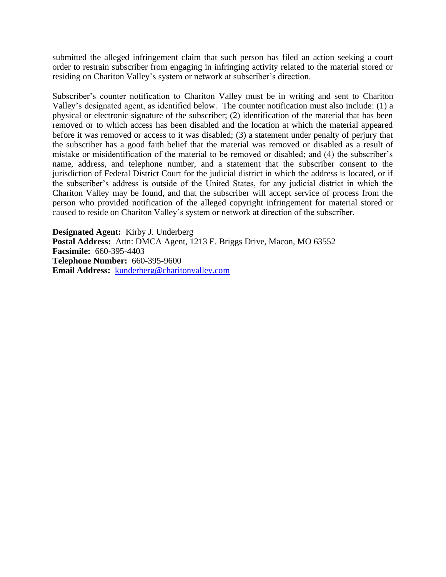submitted the alleged infringement claim that such person has filed an action seeking a court order to restrain subscriber from engaging in infringing activity related to the material stored or residing on Chariton Valley's system or network at subscriber's direction.

Subscriber's counter notification to Chariton Valley must be in writing and sent to Chariton Valley's designated agent, as identified below. The counter notification must also include: (1) a physical or electronic signature of the subscriber; (2) identification of the material that has been removed or to which access has been disabled and the location at which the material appeared before it was removed or access to it was disabled; (3) a statement under penalty of perjury that the subscriber has a good faith belief that the material was removed or disabled as a result of mistake or misidentification of the material to be removed or disabled; and (4) the subscriber's name, address, and telephone number, and a statement that the subscriber consent to the jurisdiction of Federal District Court for the judicial district in which the address is located, or if the subscriber's address is outside of the United States, for any judicial district in which the Chariton Valley may be found, and that the subscriber will accept service of process from the person who provided notification of the alleged copyright infringement for material stored or caused to reside on Chariton Valley's system or network at direction of the subscriber.

**Designated Agent:** Kirby J. Underberg **Postal Address:** Attn: DMCA Agent, 1213 E. Briggs Drive, Macon, MO 63552 **Facsimile:** 660-395-4403 **Telephone Number:** 660-395-9600 **Email Address:** [kunderberg@charitonvalley.com](mailto:kunderberg@charitonvalley.com)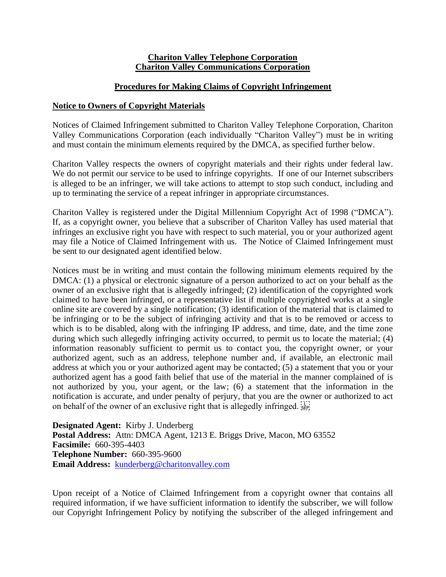#### **Chariton Valley Telephone Corporation Chariton Valley Communications Corporation**

## **Procedures for Making Claims of Copyright Infringement**

## **Notice to Owners of Copyright Materials**

Notices of Claimed Infringement submitted to Chariton Valley Telephone Corporation, Chariton Valley Communications Corporation (each individually "Chariton Valley") must be in writing and must contain the minimum elements required by the DMCA, as specified further below.

Chariton Valley respects the owners of copyright materials and their rights under federal law. We do not permit our service to be used to infringe copyrights. If one of our Internet subscribers is alleged to be an infringer, we will take actions to attempt to stop such conduct, including and up to terminating the service of a repeat infringer in appropriate circumstances.

Chariton Valley is registered under the Digital Millennium Copyright Act of 1998 ("DMCA"). If, as a copyright owner, you believe that a subscriber of Chariton Valley has used material that infringes an exclusive right you have with respect to such material, you or your authorized agent may file a Notice of Claimed Infringement with us. The Notice of Claimed Infringement must be sent to our designated agent identified below.

Notices must be in writing and must contain the following minimum elements required by the DMCA: (1) a physical or electronic signature of a person authorized to act on your behalf as the owner of an exclusive right that is allegedly infringed; (2) identification of the copyrighted work claimed to have been infringed, or a representative list if multiple copyrighted works at a single online site are covered by a single notification; (3) identification of the material that is claimed to be infringing or to be the subject of infringing activity and that is to be removed or access to which is to be disabled, along with the infringing IP address, and time, date, and the time zone during which such allegedly infringing activity occurred, to permit us to locate the material; (4) information reasonably sufficient to permit us to contact you, the copyright owner, or your authorized agent, such as an address, telephone number and, if available, an electronic mail address at which you or your authorized agent may be contacted; (5) a statement that you or your authorized agent has a good faith belief that use of the material in the manner complained of is not authorized by you, your agent, or the law; (6) a statement that the information in the notification is accurate, and under penalty of perjury, that you are the owner or authorized to act on behalf of the owner of an exclusive right that is allegedly infringed.

**Designated Agent:** Kirby J. Underberg **Postal Address:** Attn: DMCA Agent, 1213 E. Briggs Drive, Macon, MO 63552 **Facsimile:** 660-395-4403 **Telephone Number:** 660-395-9600 **Email Address:** [kunderberg@charitonvalley.com](mailto:kunderberg@charitonvalley.com)

Upon receipt of a Notice of Claimed Infringement from a copyright owner that contains all required information, if we have sufficient information to identify the subscriber, we will follow our Copyright Infringement Policy by notifying the subscriber of the alleged infringement and